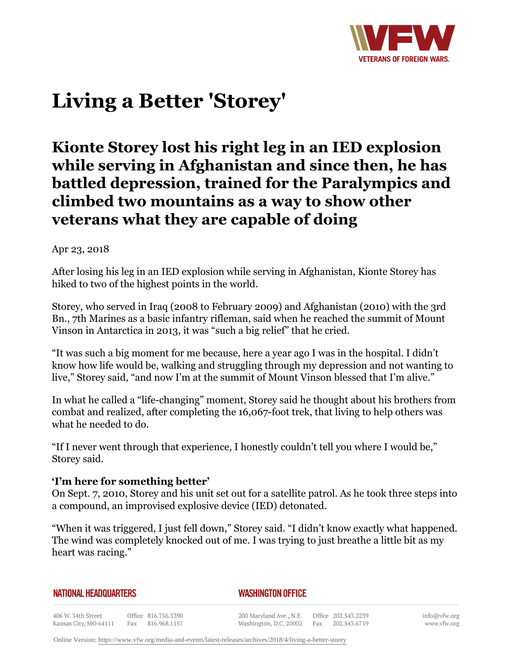

# **Living a Better 'Storey'**

## **Kionte Storey lost his right leg in an IED explosion while serving in Afghanistan and since then, he has battled depression, trained for the Paralympics and climbed two mountains as a way to show other veterans what they are capable of doing**

Apr 23, 2018

After losing his leg in an IED explosion while serving in Afghanistan, Kionte Storey has hiked to two of the highest points in the world.

Storey, who served in Iraq (2008 to February 2009) and Afghanistan (2010) with the 3rd Bn., 7th Marines as a basic infantry rifleman, said when he reached the summit of Mount Vinson in Antarctica in 2013, it was "such a big relief" that he cried.

"It was such a big moment for me because, here a year ago I was in the hospital. I didn't know how life would be, walking and struggling through my depression and not wanting to live," Storey said, "and now I'm at the summit of Mount Vinson blessed that I'm alive."

In what he called a "life-changing" moment, Storey said he thought about his brothers from combat and realized, after completing the 16,067-foot trek, that living to help others was what he needed to do.

"If I never went through that experience, I honestly couldn't tell you where I would be," Storey said.

### **'I'm here for something better'**

On Sept. 7, 2010, Storey and his unit set out for a satellite patrol. As he took three steps into a compound, an improvised explosive device (IED) detonated.

"When it was triggered, I just fell down," Storey said. "I didn't know exactly what happened. The wind was completely knocked out of me. I was trying to just breathe a little bit as my heart was racing."

| NATIONAL HEADQUARTERS |  |
|-----------------------|--|
|-----------------------|--|

#### *WASHINGTON OFFICE*

406 W. 34th Street Office 816.756.3390 Kansas City, MO 64111 Fax 816.968.1157

200 Maryland Ave., N.E. Washington, D.C. 20002

Office 202.543.2239 Fax 202.543.6719 info@vfw.org www.vfw.org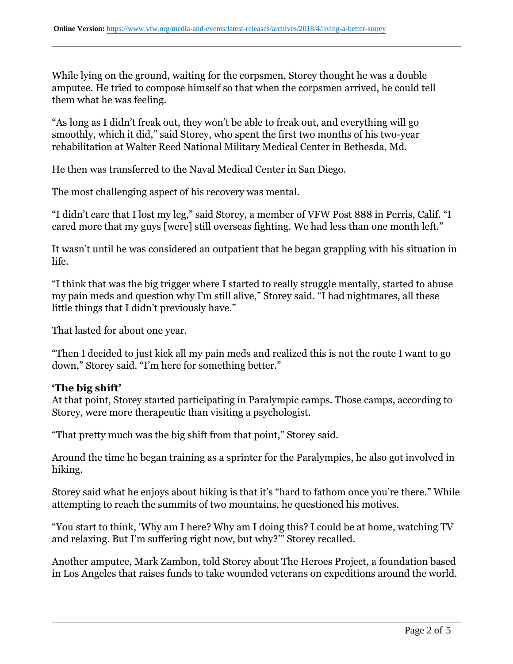While lying on the ground, waiting for the corpsmen, Storey thought he was a double amputee. He tried to compose himself so that when the corpsmen arrived, he could tell them what he was feeling.

"As long as I didn't freak out, they won't be able to freak out, and everything will go smoothly, which it did," said Storey, who spent the first two months of his two-year rehabilitation at Walter Reed National Military Medical Center in Bethesda, Md.

He then was transferred to the Naval Medical Center in San Diego.

The most challenging aspect of his recovery was mental.

"I didn't care that I lost my leg," said Storey, a member of VFW Post 888 in Perris, Calif. "I cared more that my guys [were] still overseas fighting. We had less than one month left."

It wasn't until he was considered an outpatient that he began grappling with his situation in life.

"I think that was the big trigger where I started to really struggle mentally, started to abuse my pain meds and question why I'm still alive," Storey said. "I had nightmares, all these little things that I didn't previously have."

That lasted for about one year.

"Then I decided to just kick all my pain meds and realized this is not the route I want to go down," Storey said. "I'm here for something better."

#### **'The big shift'**

At that point, Storey started participating in Paralympic camps. Those camps, according to Storey, were more therapeutic than visiting a psychologist.

"That pretty much was the big shift from that point," Storey said.

Around the time he began training as a sprinter for the Paralympics, he also got involved in hiking.

Storey said what he enjoys about hiking is that it's "hard to fathom once you're there." While attempting to reach the summits of two mountains, he questioned his motives.

"You start to think, 'Why am I here? Why am I doing this? I could be at home, watching TV and relaxing. But I'm suffering right now, but why?'" Storey recalled.

Another amputee, Mark Zambon, told Storey about The Heroes Project, a foundation based in Los Angeles that raises funds to take wounded veterans on expeditions around the world.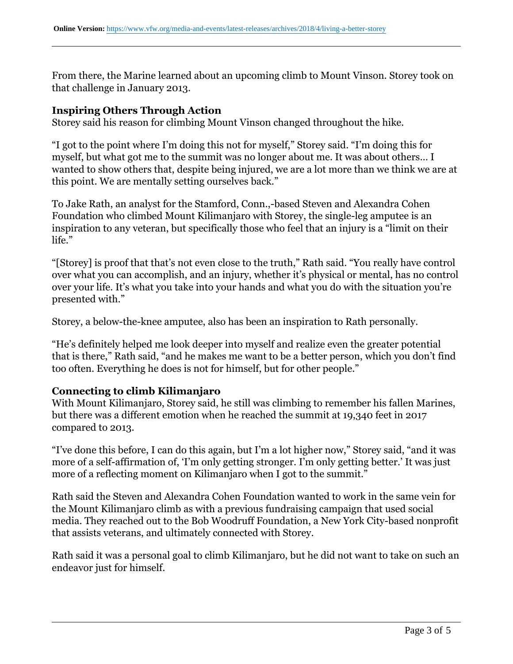From there, the Marine learned about an upcoming climb to Mount Vinson. Storey took on that challenge in January 2013.

#### **Inspiring Others Through Action**

Storey said his reason for climbing Mount Vinson changed throughout the hike.

"I got to the point where I'm doing this not for myself," Storey said. "I'm doing this for myself, but what got me to the summit was no longer about me. It was about others… I wanted to show others that, despite being injured, we are a lot more than we think we are at this point. We are mentally setting ourselves back."

To Jake Rath, an analyst for the Stamford, Conn.,-based Steven and Alexandra Cohen Foundation who climbed Mount Kilimanjaro with Storey, the single-leg amputee is an inspiration to any veteran, but specifically those who feel that an injury is a "limit on their life."

"[Storey] is proof that that's not even close to the truth," Rath said. "You really have control over what you can accomplish, and an injury, whether it's physical or mental, has no control over your life. It's what you take into your hands and what you do with the situation you're presented with."

Storey, a below-the-knee amputee, also has been an inspiration to Rath personally.

"He's definitely helped me look deeper into myself and realize even the greater potential that is there," Rath said, "and he makes me want to be a better person, which you don't find too often. Everything he does is not for himself, but for other people."

#### **Connecting to climb Kilimanjaro**

With Mount Kilimanjaro, Storey said, he still was climbing to remember his fallen Marines, but there was a different emotion when he reached the summit at 19,340 feet in 2017 compared to 2013.

"I've done this before, I can do this again, but I'm a lot higher now," Storey said, "and it was more of a self-affirmation of, 'I'm only getting stronger. I'm only getting better.' It was just more of a reflecting moment on Kilimanjaro when I got to the summit."

Rath said the Steven and Alexandra Cohen Foundation wanted to work in the same vein for the Mount Kilimanjaro climb as with a previous fundraising campaign that used social media. They reached out to the Bob Woodruff Foundation, a New York City-based nonprofit that assists veterans, and ultimately connected with Storey.

Rath said it was a personal goal to climb Kilimanjaro, but he did not want to take on such an endeavor just for himself.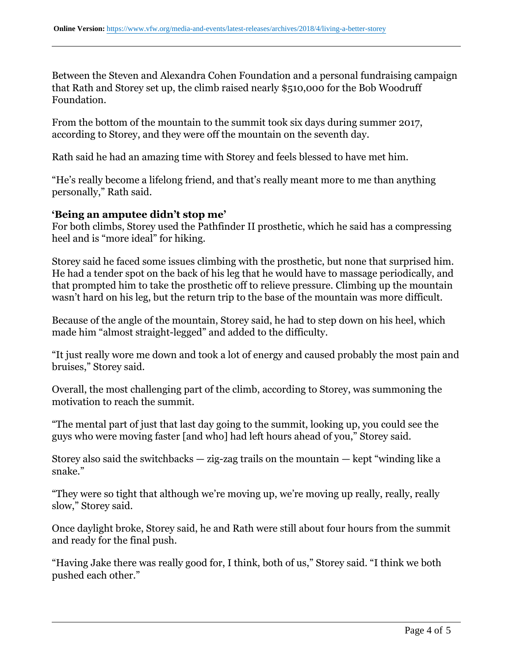Between the Steven and Alexandra Cohen Foundation and a personal fundraising campaign that Rath and Storey set up, the climb raised nearly \$510,000 for the Bob Woodruff Foundation.

From the bottom of the mountain to the summit took six days during summer 2017, according to Storey, and they were off the mountain on the seventh day.

Rath said he had an amazing time with Storey and feels blessed to have met him.

"He's really become a lifelong friend, and that's really meant more to me than anything personally," Rath said.

#### **'Being an amputee didn't stop me'**

For both climbs, Storey used the Pathfinder II prosthetic, which he said has a compressing heel and is "more ideal" for hiking.

Storey said he faced some issues climbing with the prosthetic, but none that surprised him. He had a tender spot on the back of his leg that he would have to massage periodically, and that prompted him to take the prosthetic off to relieve pressure. Climbing up the mountain wasn't hard on his leg, but the return trip to the base of the mountain was more difficult.

Because of the angle of the mountain, Storey said, he had to step down on his heel, which made him "almost straight-legged" and added to the difficulty.

"It just really wore me down and took a lot of energy and caused probably the most pain and bruises," Storey said.

Overall, the most challenging part of the climb, according to Storey, was summoning the motivation to reach the summit.

"The mental part of just that last day going to the summit, looking up, you could see the guys who were moving faster [and who] had left hours ahead of you," Storey said.

Storey also said the switchbacks  $-$  zig-zag trails on the mountain  $-$  kept "winding like a snake."

"They were so tight that although we're moving up, we're moving up really, really, really slow," Storey said.

Once daylight broke, Storey said, he and Rath were still about four hours from the summit and ready for the final push.

"Having Jake there was really good for, I think, both of us," Storey said. "I think we both pushed each other."